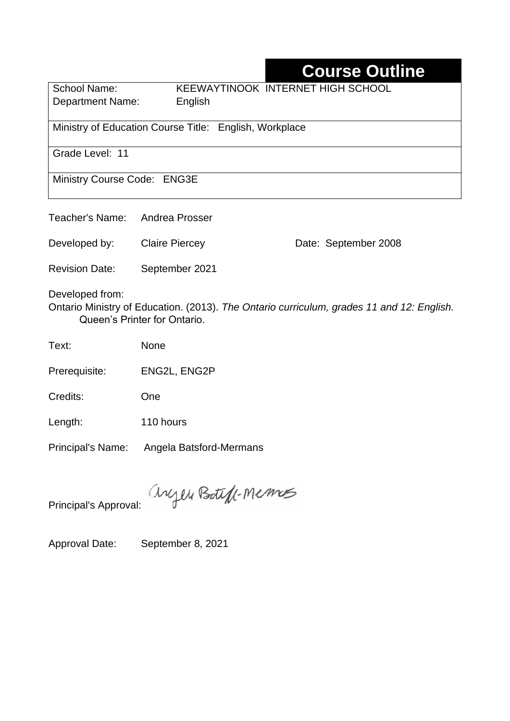## **Course Outline**

School Name: KEEWAYTINOOK INTERNET HIGH SCHOOL Department Name:English

Ministry of Education Course Title:English, Workplace

Grade Level: 11

Ministry Course Code: ENG3E

Teacher's Name: Andrea Prosser

Developed by: Claire Piercey Date: September 2008

Revision Date: September 2021

Developed from:

Ontario Ministry of Education. (2013). *The Ontario curriculum, grades 11 and 12: English.*  Queen's Printer for Ontario.

Text: None

Prerequisite: ENG2L, ENG2P

Credits: One

Length: 110 hours

Principal's Name: Angela Batsford-Mermans

anyen Boteff-Memos

Principal's Approval:

Approval Date: September 8, 2021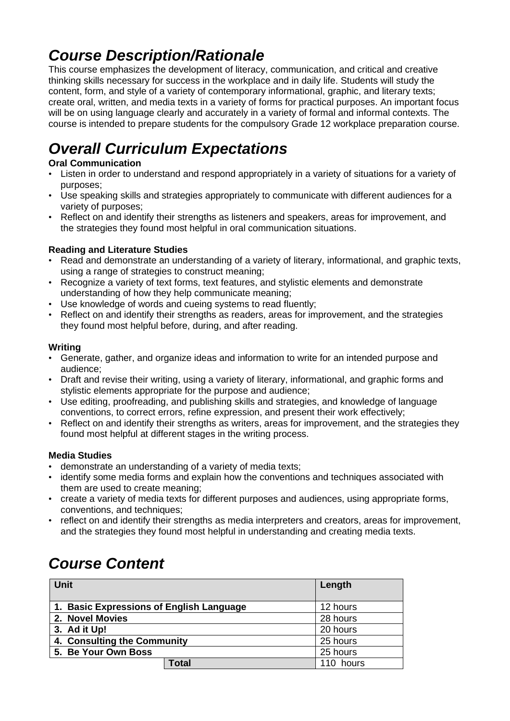## *Course Description/Rationale*

This course emphasizes the development of literacy, communication, and critical and creative thinking skills necessary for success in the workplace and in daily life. Students will study the content, form, and style of a variety of contemporary informational, graphic, and literary texts; create oral, written, and media texts in a variety of forms for practical purposes. An important focus will be on using language clearly and accurately in a variety of formal and informal contexts. The course is intended to prepare students for the compulsory Grade 12 workplace preparation course.

# *Overall Curriculum Expectations*

#### **Oral Communication**

- Listen in order to understand and respond appropriately in a variety of situations for a variety of purposes;
- Use speaking skills and strategies appropriately to communicate with different audiences for a variety of purposes;
- Reflect on and identify their strengths as listeners and speakers, areas for improvement, and the strategies they found most helpful in oral communication situations.

#### **Reading and Literature Studies**

- Read and demonstrate an understanding of a variety of literary, informational, and graphic texts, using a range of strategies to construct meaning;
- Recognize a variety of text forms, text features, and stylistic elements and demonstrate understanding of how they help communicate meaning;
- Use knowledge of words and cueing systems to read fluently;
- Reflect on and identify their strengths as readers, areas for improvement, and the strategies they found most helpful before, during, and after reading.

#### **Writing**

- Generate, gather, and organize ideas and information to write for an intended purpose and audience;
- Draft and revise their writing, using a variety of literary, informational, and graphic forms and stylistic elements appropriate for the purpose and audience;
- Use editing, proofreading, and publishing skills and strategies, and knowledge of language conventions, to correct errors, refine expression, and present their work effectively;
- Reflect on and identify their strengths as writers, areas for improvement, and the strategies they found most helpful at different stages in the writing process.

#### **Media Studies**

- demonstrate an understanding of a variety of media texts;
- identify some media forms and explain how the conventions and techniques associated with them are used to create meaning;
- create a variety of media texts for different purposes and audiences, using appropriate forms, conventions, and techniques;
- reflect on and identify their strengths as media interpreters and creators, areas for improvement, and the strategies they found most helpful in understanding and creating media texts.

### *Course Content*

| Unit                                     |              | Length    |
|------------------------------------------|--------------|-----------|
| 1. Basic Expressions of English Language | 12 hours     |           |
| 2. Novel Movies                          |              | 28 hours  |
| 3. Ad it Up!                             |              | 20 hours  |
| 4. Consulting the Community              |              | 25 hours  |
| 5. Be Your Own Boss                      |              | 25 hours  |
|                                          | <b>Total</b> | 110 hours |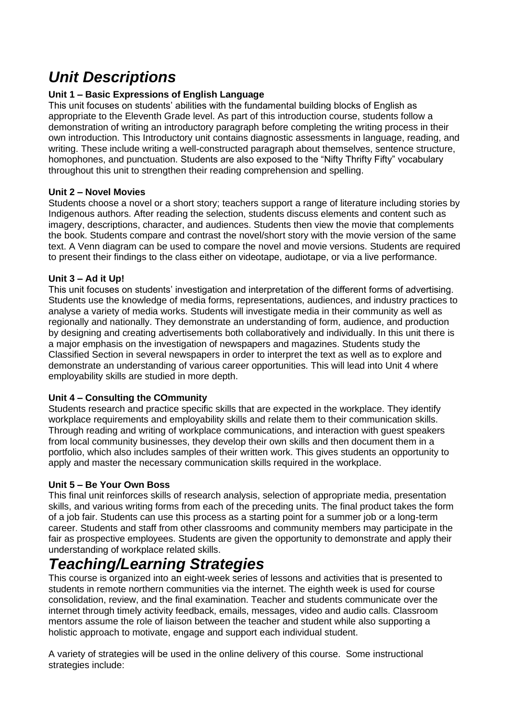### *Unit Descriptions*

#### **Unit 1 – Basic Expressions of English Language**

This unit focuses on students' abilities with the fundamental building blocks of English as appropriate to the Eleventh Grade level. As part of this introduction course, students follow a demonstration of writing an introductory paragraph before completing the writing process in their own introduction. This Introductory unit contains diagnostic assessments in language, reading, and writing. These include writing a well-constructed paragraph about themselves, sentence structure, homophones, and punctuation. Students are also exposed to the "Nifty Thrifty Fifty" vocabulary throughout this unit to strengthen their reading comprehension and spelling.

#### **Unit 2 – Novel Movies**

Students choose a novel or a short story; teachers support a range of literature including stories by Indigenous authors. After reading the selection, students discuss elements and content such as imagery, descriptions, character, and audiences. Students then view the movie that complements the book. Students compare and contrast the novel/short story with the movie version of the same text. A Venn diagram can be used to compare the novel and movie versions. Students are required to present their findings to the class either on videotape, audiotape, or via a live performance.

#### **Unit 3 – Ad it Up!**

This unit focuses on students' investigation and interpretation of the different forms of advertising. Students use the knowledge of media forms, representations, audiences, and industry practices to analyse a variety of media works. Students will investigate media in their community as well as regionally and nationally. They demonstrate an understanding of form, audience, and production by designing and creating advertisements both collaboratively and individually. In this unit there is a major emphasis on the investigation of newspapers and magazines. Students study the Classified Section in several newspapers in order to interpret the text as well as to explore and demonstrate an understanding of various career opportunities. This will lead into Unit 4 where employability skills are studied in more depth.

#### **Unit 4 – Consulting the COmmunity**

Students research and practice specific skills that are expected in the workplace. They identify workplace requirements and employability skills and relate them to their communication skills. Through reading and writing of workplace communications, and interaction with guest speakers from local community businesses, they develop their own skills and then document them in a portfolio, which also includes samples of their written work. This gives students an opportunity to apply and master the necessary communication skills required in the workplace.

#### **Unit 5 – Be Your Own Boss**

This final unit reinforces skills of research analysis, selection of appropriate media, presentation skills, and various writing forms from each of the preceding units. The final product takes the form of a job fair. Students can use this process as a starting point for a summer job or a long-term career. Students and staff from other classrooms and community members may participate in the fair as prospective employees. Students are given the opportunity to demonstrate and apply their understanding of workplace related skills.

### *Teaching/Learning Strategies*

This course is organized into an eight-week series of lessons and activities that is presented to students in remote northern communities via the internet. The eighth week is used for course consolidation, review, and the final examination. Teacher and students communicate over the internet through timely activity feedback, emails, messages, video and audio calls. Classroom mentors assume the role of liaison between the teacher and student while also supporting a holistic approach to motivate, engage and support each individual student.

A variety of strategies will be used in the online delivery of this course. Some instructional strategies include: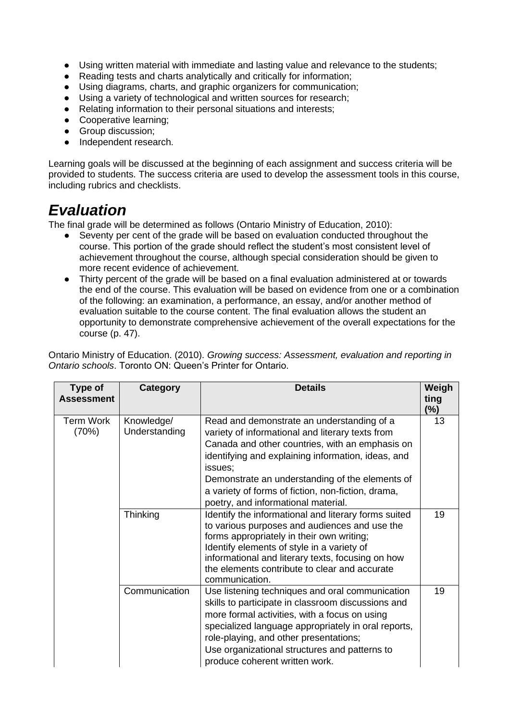- Using written material with immediate and lasting value and relevance to the students;
- Reading tests and charts analytically and critically for information;
- Using diagrams, charts, and graphic organizers for communication;
- Using a variety of technological and written sources for research;<br>● Relating information to their personal situations and interests:
- Relating information to their personal situations and interests;
- Cooperative learning;
- Group discussion;
- Independent research.

Learning goals will be discussed at the beginning of each assignment and success criteria will be provided to students. The success criteria are used to develop the assessment tools in this course, including rubrics and checklists.

### *Evaluation*

The final grade will be determined as follows (Ontario Ministry of Education, 2010):

- Seventy per cent of the grade will be based on evaluation conducted throughout the course. This portion of the grade should reflect the student's most consistent level of achievement throughout the course, although special consideration should be given to more recent evidence of achievement.
- Thirty percent of the grade will be based on a final evaluation administered at or towards the end of the course. This evaluation will be based on evidence from one or a combination of the following: an examination, a performance, an essay, and/or another method of evaluation suitable to the course content. The final evaluation allows the student an opportunity to demonstrate comprehensive achievement of the overall expectations for the course (p. 47).

Ontario Ministry of Education. (2010). *Growing success: Assessment, evaluation and reporting in Ontario schools*. Toronto ON: Queen's Printer for Ontario.

| Type of<br><b>Assessment</b> | Category                    | <b>Details</b>                                                                                                                                                                                                                                                                                                                                                     | Weigh<br>ting<br>$(\%)$ |
|------------------------------|-----------------------------|--------------------------------------------------------------------------------------------------------------------------------------------------------------------------------------------------------------------------------------------------------------------------------------------------------------------------------------------------------------------|-------------------------|
| Term Work<br>(70%)           | Knowledge/<br>Understanding | Read and demonstrate an understanding of a<br>variety of informational and literary texts from<br>Canada and other countries, with an emphasis on<br>identifying and explaining information, ideas, and<br>issues:<br>Demonstrate an understanding of the elements of<br>a variety of forms of fiction, non-fiction, drama,<br>poetry, and informational material. | 13                      |
|                              | Thinking                    | Identify the informational and literary forms suited<br>to various purposes and audiences and use the<br>forms appropriately in their own writing;<br>Identify elements of style in a variety of<br>informational and literary texts, focusing on how<br>the elements contribute to clear and accurate<br>communication.                                           | 19                      |
|                              | Communication               | Use listening techniques and oral communication<br>skills to participate in classroom discussions and<br>more formal activities, with a focus on using<br>specialized language appropriately in oral reports,<br>role-playing, and other presentations;<br>Use organizational structures and patterns to<br>produce coherent written work.                         | 19                      |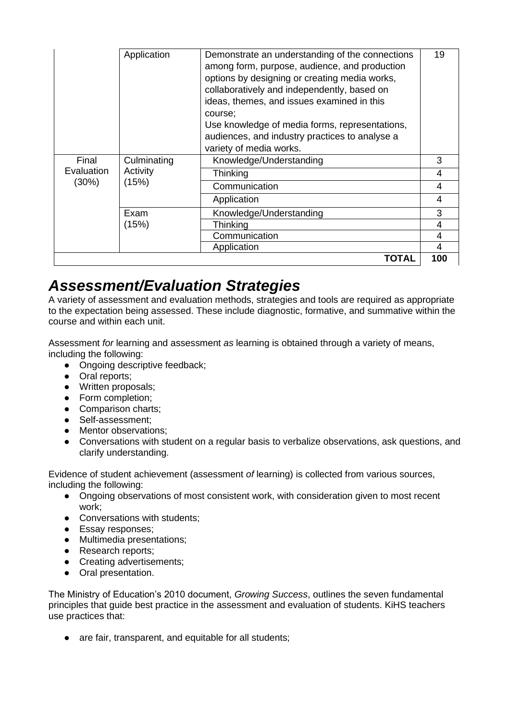|            | Application | Demonstrate an understanding of the connections<br>among form, purpose, audience, and production<br>options by designing or creating media works,<br>collaboratively and independently, based on<br>ideas, themes, and issues examined in this<br>course:<br>Use knowledge of media forms, representations,<br>audiences, and industry practices to analyse a<br>variety of media works. | 19  |
|------------|-------------|------------------------------------------------------------------------------------------------------------------------------------------------------------------------------------------------------------------------------------------------------------------------------------------------------------------------------------------------------------------------------------------|-----|
| Final      | Culminating | Knowledge/Understanding                                                                                                                                                                                                                                                                                                                                                                  | 3   |
| Evaluation | Activity    | Thinking                                                                                                                                                                                                                                                                                                                                                                                 | 4   |
| $(30\%)$   | (15%)       | Communication                                                                                                                                                                                                                                                                                                                                                                            | 4   |
|            |             |                                                                                                                                                                                                                                                                                                                                                                                          |     |
|            |             | Application                                                                                                                                                                                                                                                                                                                                                                              | 4   |
|            | Exam        | Knowledge/Understanding                                                                                                                                                                                                                                                                                                                                                                  | 3   |
|            | (15%)       | Thinking                                                                                                                                                                                                                                                                                                                                                                                 | 4   |
|            |             | Communication                                                                                                                                                                                                                                                                                                                                                                            | 4   |
|            |             | Application                                                                                                                                                                                                                                                                                                                                                                              | 4   |
|            |             | TOTAL                                                                                                                                                                                                                                                                                                                                                                                    | 100 |

### *Assessment/Evaluation Strategies*

A variety of assessment and evaluation methods, strategies and tools are required as appropriate to the expectation being assessed. These include diagnostic, formative, and summative within the course and within each unit.

Assessment *for* learning and assessment *as* learning is obtained through a variety of means, including the following:

- Ongoing descriptive feedback;
- Oral reports;
- Written proposals;
- Form completion;
- Comparison charts;
- Self-assessment;
- Mentor observations;
- Conversations with student on a regular basis to verbalize observations, ask questions, and clarify understanding.

Evidence of student achievement (assessment *of* learning) is collected from various sources, including the following:

- Ongoing observations of most consistent work, with consideration given to most recent work;
- Conversations with students;
- Essay responses;
- Multimedia presentations;
- Research reports;
- Creating advertisements;
- Oral presentation.

The Ministry of Education's 2010 document, *Growing Success*, outlines the seven fundamental principles that guide best practice in the assessment and evaluation of students. KiHS teachers use practices that:

• are fair, transparent, and equitable for all students;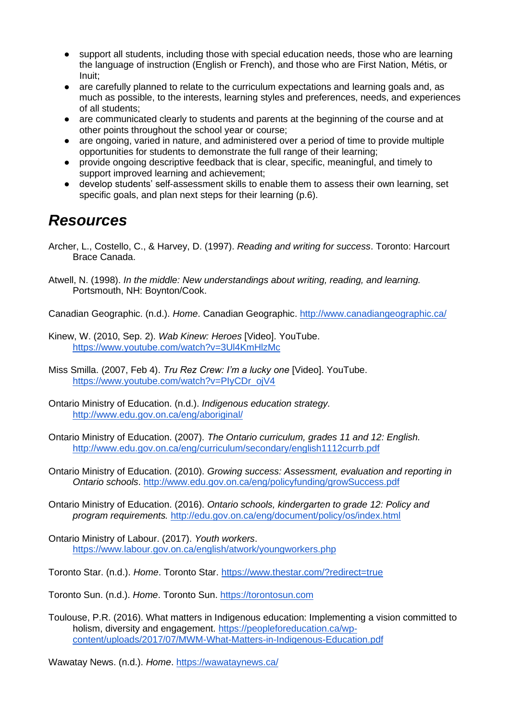- support all students, including those with special education needs, those who are learning the language of instruction (English or French), and those who are First Nation, Métis, or Inuit;
- are carefully planned to relate to the curriculum expectations and learning goals and, as much as possible, to the interests, learning styles and preferences, needs, and experiences of all students;
- are communicated clearly to students and parents at the beginning of the course and at other points throughout the school year or course;
- are ongoing, varied in nature, and administered over a period of time to provide multiple opportunities for students to demonstrate the full range of their learning;
- provide ongoing descriptive feedback that is clear, specific, meaningful, and timely to support improved learning and achievement;
- develop students' self-assessment skills to enable them to assess their own learning, set specific goals, and plan next steps for their learning (p.6).

### *Resources*

Archer, L., Costello, C., & Harvey, D. (1997). *Reading and writing for success*. Toronto: Harcourt Brace Canada.

Atwell, N. (1998). *In the middle: New understandings about writing, reading, and learning.*  Portsmouth, NH: Boynton/Cook.

Canadian Geographic. (n.d.). *Home*. Canadian Geographic.<http://www.canadiangeographic.ca/>

Kinew, W. (2010, Sep. 2). *Wab Kinew: Heroes* [Video]. YouTube. <https://www.youtube.com/watch?v=3Ul4KmHlzMc>

Miss Smilla. (2007, Feb 4). *Tru Rez Crew: I'm a lucky one* [Video]. YouTube. [https://www.youtube.com/watch?v=PIyCDr\\_ojV4](https://www.youtube.com/watch?v=PIyCDr_ojV4)

- Ontario Ministry of Education. (n.d.). *Indigenous education strategy.* <http://www.edu.gov.on.ca/eng/aboriginal/>
- Ontario Ministry of Education. (2007). *The Ontario curriculum, grades 11 and 12: English.*  <http://www.edu.gov.on.ca/eng/curriculum/secondary/english1112currb.pdf>

Ontario Ministry of Education. (2010). *Growing success: Assessment, evaluation and reporting in Ontario schools*.<http://www.edu.gov.on.ca/eng/policyfunding/growSuccess.pdf>

Ontario Ministry of Education. (2016). *Ontario schools, kindergarten to grade 12: Policy and program requirements.* <http://edu.gov.on.ca/eng/document/policy/os/index.html>

Ontario Ministry of Labour. (2017). *Youth workers*. <https://www.labour.gov.on.ca/english/atwork/youngworkers.php>

Toronto Star. (n.d.). *Home*. Toronto Star.<https://www.thestar.com/?redirect=true>

Toronto Sun. (n.d.). *Home*. Toronto Sun. [https://torontosun.com](https://torontosun.com/)

Toulouse, P.R. (2016). What matters in Indigenous education: Implementing a vision committed to holism, diversity and engagement. [https://peopleforeducation.ca/wp](https://peopleforeducation.ca/wp-content/uploads/2017/07/MWM-What-Matters-in-Indigenous-Education.pdf)[content/uploads/2017/07/MWM-What-Matters-in-Indigenous-Education.pdf](https://peopleforeducation.ca/wp-content/uploads/2017/07/MWM-What-Matters-in-Indigenous-Education.pdf)

Wawatay News. (n.d.). *Home*.<https://wawataynews.ca/>